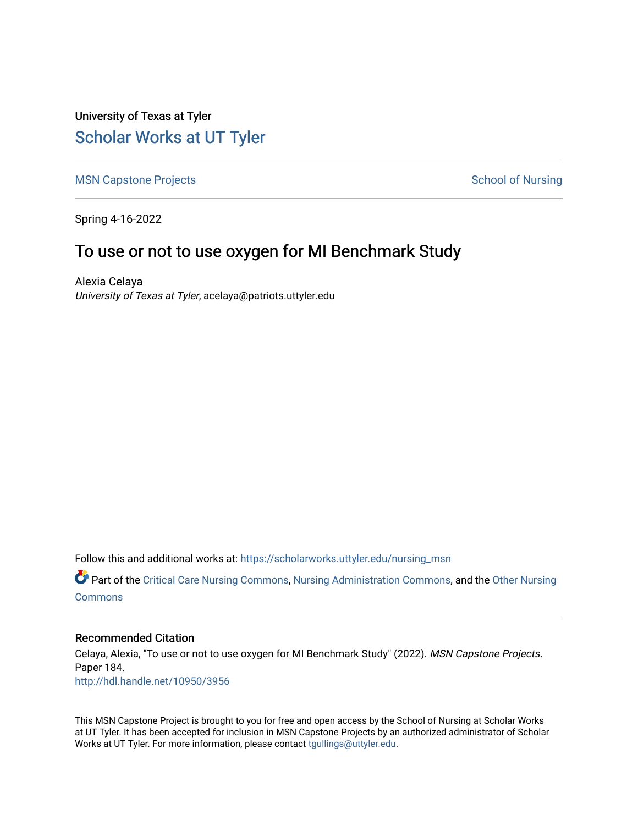University of Texas at Tyler [Scholar Works at UT Tyler](https://scholarworks.uttyler.edu/) 

[MSN Capstone Projects](https://scholarworks.uttyler.edu/nursing_msn) **School of Nursing** School of Nursing

Spring 4-16-2022

# To use or not to use oxygen for MI Benchmark Study

Alexia Celaya University of Texas at Tyler, acelaya@patriots.uttyler.edu

Follow this and additional works at: [https://scholarworks.uttyler.edu/nursing\\_msn](https://scholarworks.uttyler.edu/nursing_msn?utm_source=scholarworks.uttyler.edu%2Fnursing_msn%2F184&utm_medium=PDF&utm_campaign=PDFCoverPages)

Part of the [Critical Care Nursing Commons](http://network.bepress.com/hgg/discipline/727?utm_source=scholarworks.uttyler.edu%2Fnursing_msn%2F184&utm_medium=PDF&utm_campaign=PDFCoverPages), [Nursing Administration Commons,](http://network.bepress.com/hgg/discipline/719?utm_source=scholarworks.uttyler.edu%2Fnursing_msn%2F184&utm_medium=PDF&utm_campaign=PDFCoverPages) and the [Other Nursing](http://network.bepress.com/hgg/discipline/729?utm_source=scholarworks.uttyler.edu%2Fnursing_msn%2F184&utm_medium=PDF&utm_campaign=PDFCoverPages) **[Commons](http://network.bepress.com/hgg/discipline/729?utm_source=scholarworks.uttyler.edu%2Fnursing_msn%2F184&utm_medium=PDF&utm_campaign=PDFCoverPages)** 

## Recommended Citation

Celaya, Alexia, "To use or not to use oxygen for MI Benchmark Study" (2022). MSN Capstone Projects. Paper 184. [http://hdl.handle.net/10950/3956](http://hdl.handle.net/10950/3956?utm_source=scholarworks.uttyler.edu%2Fnursing_msn%2F184&utm_medium=PDF&utm_campaign=PDFCoverPages) 

This MSN Capstone Project is brought to you for free and open access by the School of Nursing at Scholar Works at UT Tyler. It has been accepted for inclusion in MSN Capstone Projects by an authorized administrator of Scholar Works at UT Tyler. For more information, please contact [tgullings@uttyler.edu](mailto:tgullings@uttyler.edu).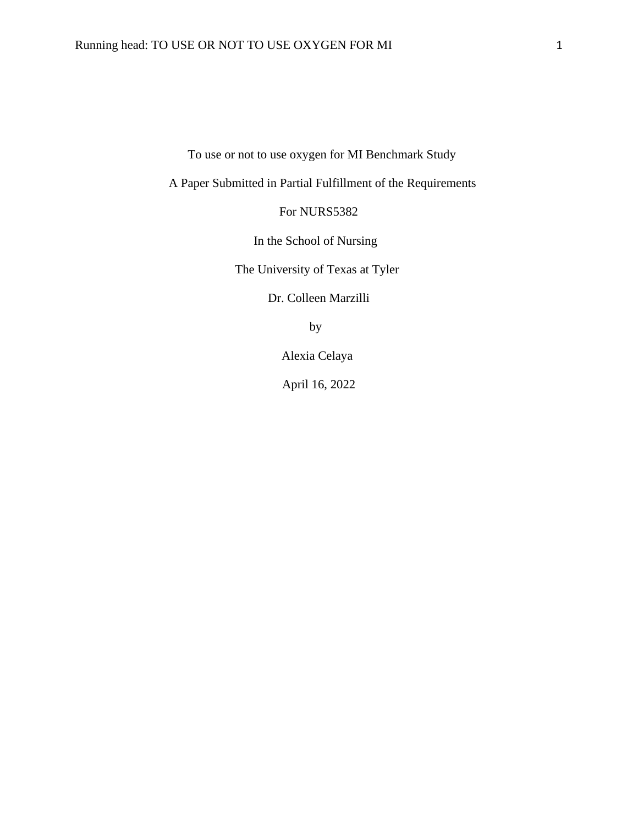To use or not to use oxygen for MI Benchmark Study

A Paper Submitted in Partial Fulfillment of the Requirements

For NURS5382

In the School of Nursing

The University of Texas at Tyler

Dr. Colleen Marzilli

by

Alexia Celaya

April 16, 2022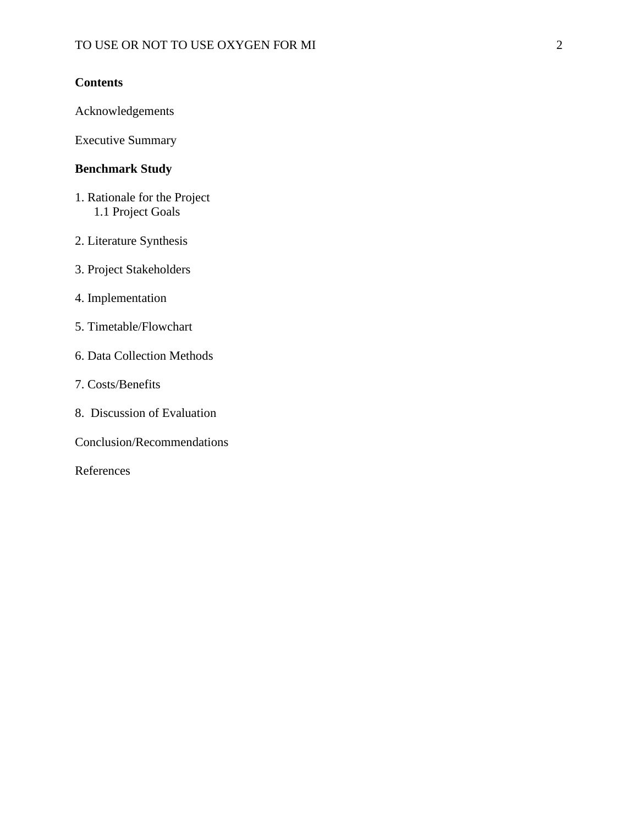# **Contents**

Acknowledgements

Executive Summary

# **Benchmark Study**

- 1. Rationale for the Project 1.1 Project Goals
- 2. Literature Synthesis
- 3. Project Stakeholders
- 4. Implementation
- 5. Timetable/Flowchart
- 6. Data Collection Methods
- 7. Costs/Benefits
- 8. Discussion of Evaluation

Conclusion/Recommendations

References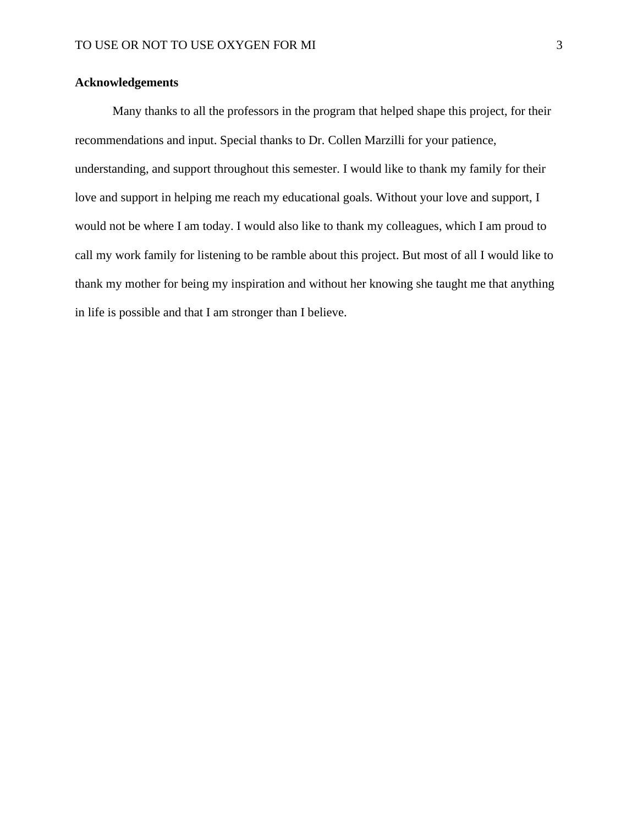## **Acknowledgements**

Many thanks to all the professors in the program that helped shape this project, for their recommendations and input. Special thanks to Dr. Collen Marzilli for your patience, understanding, and support throughout this semester. I would like to thank my family for their love and support in helping me reach my educational goals. Without your love and support, I would not be where I am today. I would also like to thank my colleagues, which I am proud to call my work family for listening to be ramble about this project. But most of all I would like to thank my mother for being my inspiration and without her knowing she taught me that anything in life is possible and that I am stronger than I believe.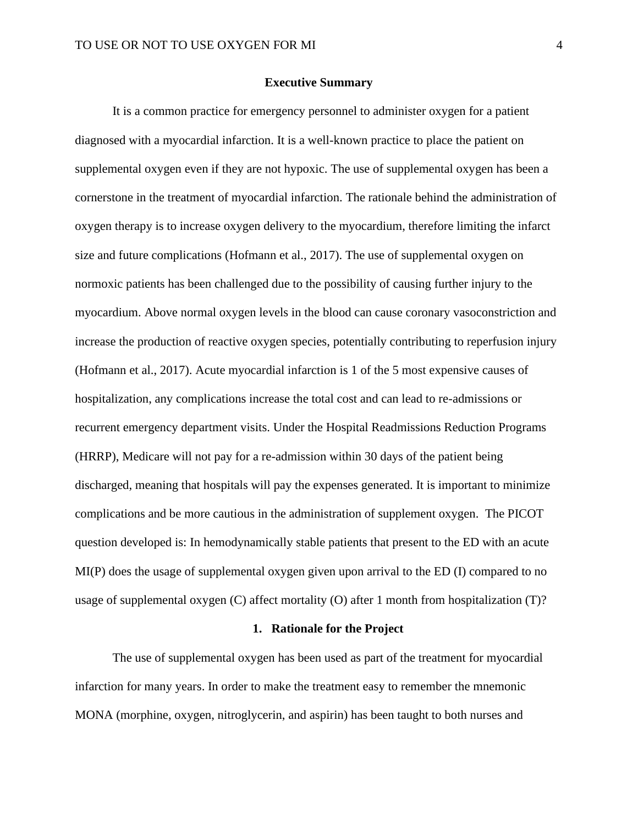## **Executive Summary**

It is a common practice for emergency personnel to administer oxygen for a patient diagnosed with a myocardial infarction. It is a well-known practice to place the patient on supplemental oxygen even if they are not hypoxic. The use of supplemental oxygen has been a cornerstone in the treatment of myocardial infarction. The rationale behind the administration of oxygen therapy is to increase oxygen delivery to the myocardium, therefore limiting the infarct size and future complications (Hofmann et al., 2017). The use of supplemental oxygen on normoxic patients has been challenged due to the possibility of causing further injury to the myocardium. Above normal oxygen levels in the blood can cause coronary vasoconstriction and increase the production of reactive oxygen species, potentially contributing to reperfusion injury (Hofmann et al., 2017). Acute myocardial infarction is 1 of the 5 most expensive causes of hospitalization, any complications increase the total cost and can lead to re-admissions or recurrent emergency department visits. Under the Hospital Readmissions Reduction Programs (HRRP), Medicare will not pay for a re-admission within 30 days of the patient being discharged, meaning that hospitals will pay the expenses generated. It is important to minimize complications and be more cautious in the administration of supplement oxygen. The PICOT question developed is: In hemodynamically stable patients that present to the ED with an acute MI(P) does the usage of supplemental oxygen given upon arrival to the ED (I) compared to no usage of supplemental oxygen (C) affect mortality (O) after 1 month from hospitalization (T)?

#### **1. Rationale for the Project**

The use of supplemental oxygen has been used as part of the treatment for myocardial infarction for many years. In order to make the treatment easy to remember the mnemonic MONA (morphine, oxygen, nitroglycerin, and aspirin) has been taught to both nurses and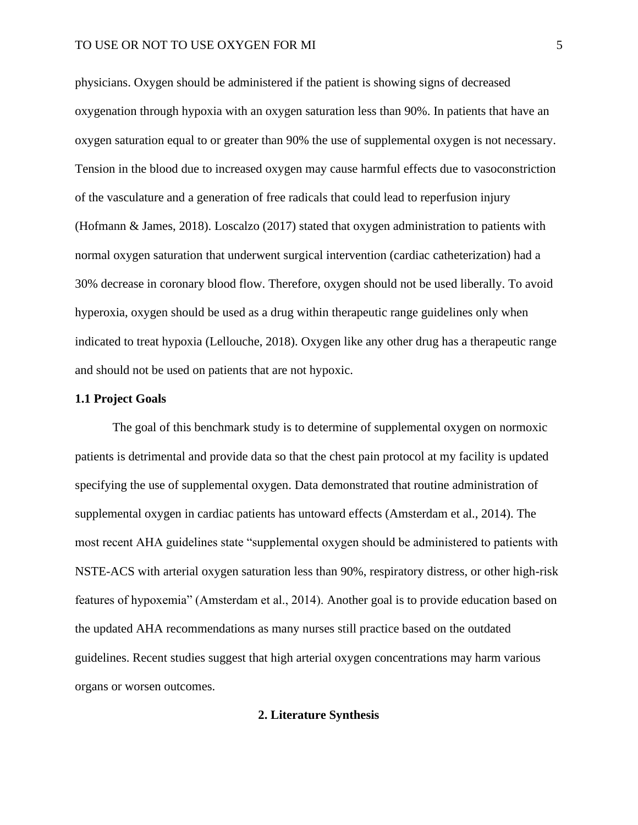physicians. Oxygen should be administered if the patient is showing signs of decreased oxygenation through hypoxia with an oxygen saturation less than 90%. In patients that have an oxygen saturation equal to or greater than 90% the use of supplemental oxygen is not necessary. Tension in the blood due to increased oxygen may cause harmful effects due to vasoconstriction of the vasculature and a generation of free radicals that could lead to reperfusion injury (Hofmann & James, 2018). Loscalzo (2017) stated that oxygen administration to patients with normal oxygen saturation that underwent surgical intervention (cardiac catheterization) had a 30% decrease in coronary blood flow. Therefore, oxygen should not be used liberally. To avoid hyperoxia, oxygen should be used as a drug within therapeutic range guidelines only when indicated to treat hypoxia (Lellouche, 2018). Oxygen like any other drug has a therapeutic range and should not be used on patients that are not hypoxic.

## **1.1 Project Goals**

The goal of this benchmark study is to determine of supplemental oxygen on normoxic patients is detrimental and provide data so that the chest pain protocol at my facility is updated specifying the use of supplemental oxygen. Data demonstrated that routine administration of supplemental oxygen in cardiac patients has untoward effects (Amsterdam et al., 2014). The most recent AHA guidelines state "supplemental oxygen should be administered to patients with NSTE-ACS with arterial oxygen saturation less than 90%, respiratory distress, or other high-risk features of hypoxemia" (Amsterdam et al., 2014). Another goal is to provide education based on the updated AHA recommendations as many nurses still practice based on the outdated guidelines. Recent studies suggest that high arterial oxygen concentrations may harm various organs or worsen outcomes.

## **2. Literature Synthesis**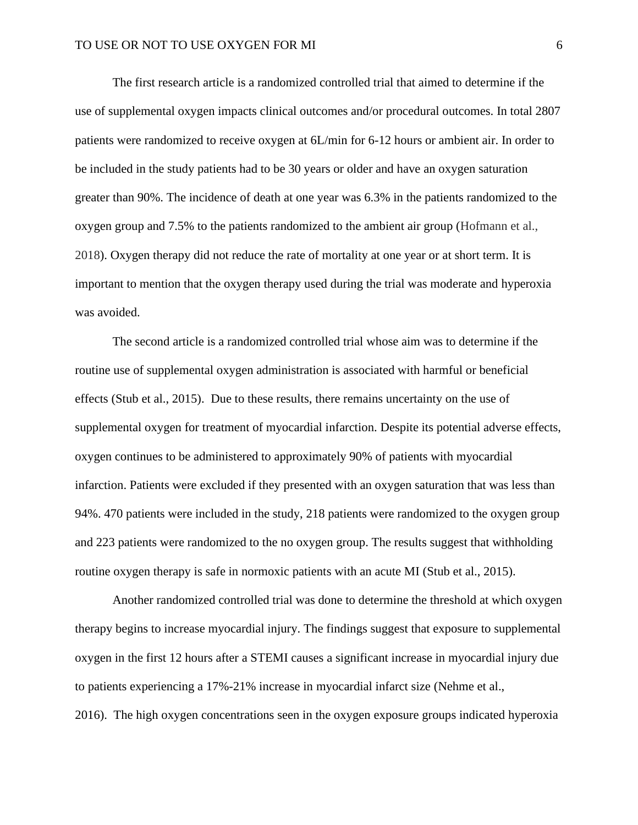The first research article is a randomized controlled trial that aimed to determine if the use of supplemental oxygen impacts clinical outcomes and/or procedural outcomes. In total 2807 patients were randomized to receive oxygen at 6L/min for 6-12 hours or ambient air. In order to be included in the study patients had to be 30 years or older and have an oxygen saturation greater than 90%. The incidence of death at one year was 6.3% in the patients randomized to the oxygen group and 7.5% to the patients randomized to the ambient air group (Hofmann et al., 2018). Oxygen therapy did not reduce the rate of mortality at one year or at short term. It is important to mention that the oxygen therapy used during the trial was moderate and hyperoxia was avoided.

The second article is a randomized controlled trial whose aim was to determine if the routine use of supplemental oxygen administration is associated with harmful or beneficial effects (Stub et al., 2015). Due to these results, there remains uncertainty on the use of supplemental oxygen for treatment of myocardial infarction. Despite its potential adverse effects, oxygen continues to be administered to approximately 90% of patients with myocardial infarction. Patients were excluded if they presented with an oxygen saturation that was less than 94%. 470 patients were included in the study, 218 patients were randomized to the oxygen group and 223 patients were randomized to the no oxygen group. The results suggest that withholding routine oxygen therapy is safe in normoxic patients with an acute MI (Stub et al., 2015).

Another randomized controlled trial was done to determine the threshold at which oxygen therapy begins to increase myocardial injury. The findings suggest that exposure to supplemental oxygen in the first 12 hours after a STEMI causes a significant increase in myocardial injury due to patients experiencing a 17%-21% increase in myocardial infarct size (Nehme et al., 2016). The high oxygen concentrations seen in the oxygen exposure groups indicated hyperoxia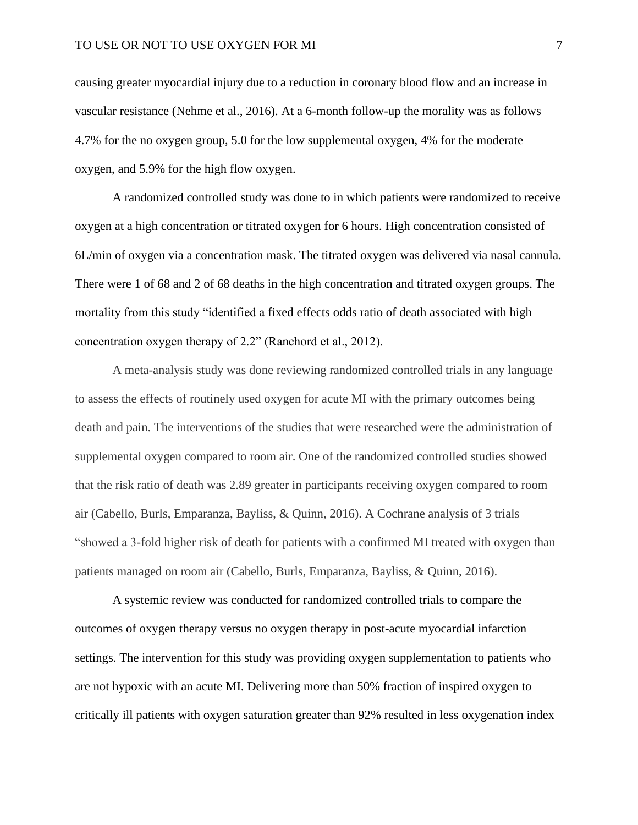causing greater myocardial injury due to a reduction in coronary blood flow and an increase in vascular resistance (Nehme et al., 2016). At a 6-month follow-up the morality was as follows 4.7% for the no oxygen group, 5.0 for the low supplemental oxygen, 4% for the moderate oxygen, and 5.9% for the high flow oxygen.

A randomized controlled study was done to in which patients were randomized to receive oxygen at a high concentration or titrated oxygen for 6 hours. High concentration consisted of 6L/min of oxygen via a concentration mask. The titrated oxygen was delivered via nasal cannula. There were 1 of 68 and 2 of 68 deaths in the high concentration and titrated oxygen groups. The mortality from this study "identified a fixed effects odds ratio of death associated with high concentration oxygen therapy of 2.2" (Ranchord et al., 2012).

A meta-analysis study was done reviewing randomized controlled trials in any language to assess the effects of routinely used oxygen for acute MI with the primary outcomes being death and pain. The interventions of the studies that were researched were the administration of supplemental oxygen compared to room air. One of the randomized controlled studies showed that the risk ratio of death was 2.89 greater in participants receiving oxygen compared to room air (Cabello, Burls, Emparanza, Bayliss, & Quinn, 2016). A Cochrane analysis of 3 trials "showed a 3-fold higher risk of death for patients with a confirmed MI treated with oxygen than patients managed on room air (Cabello, Burls, Emparanza, Bayliss, & Quinn, 2016).

A systemic review was conducted for randomized controlled trials to compare the outcomes of oxygen therapy versus no oxygen therapy in post-acute myocardial infarction settings. The intervention for this study was providing oxygen supplementation to patients who are not hypoxic with an acute MI. Delivering more than 50% fraction of inspired oxygen to critically ill patients with oxygen saturation greater than 92% resulted in less oxygenation index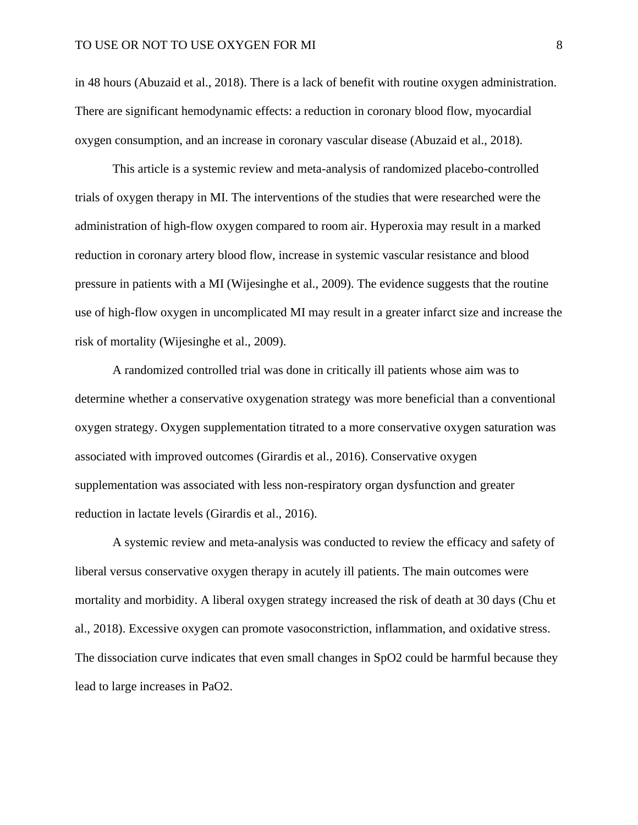in 48 hours (Abuzaid et al., 2018). There is a lack of benefit with routine oxygen administration. There are significant hemodynamic effects: a reduction in coronary blood flow, myocardial oxygen consumption, and an increase in coronary vascular disease (Abuzaid et al., 2018).

This article is a systemic review and meta-analysis of randomized placebo-controlled trials of oxygen therapy in MI. The interventions of the studies that were researched were the administration of high-flow oxygen compared to room air. Hyperoxia may result in a marked reduction in coronary artery blood flow, increase in systemic vascular resistance and blood pressure in patients with a MI (Wijesinghe et al., 2009). The evidence suggests that the routine use of high-flow oxygen in uncomplicated MI may result in a greater infarct size and increase the risk of mortality (Wijesinghe et al., 2009).

A randomized controlled trial was done in critically ill patients whose aim was to determine whether a conservative oxygenation strategy was more beneficial than a conventional oxygen strategy. Oxygen supplementation titrated to a more conservative oxygen saturation was associated with improved outcomes (Girardis et al., 2016). Conservative oxygen supplementation was associated with less non-respiratory organ dysfunction and greater reduction in lactate levels (Girardis et al., 2016).

A systemic review and meta-analysis was conducted to review the efficacy and safety of liberal versus conservative oxygen therapy in acutely ill patients. The main outcomes were mortality and morbidity. A liberal oxygen strategy increased the risk of death at 30 days (Chu et al., 2018). Excessive oxygen can promote vasoconstriction, inflammation, and oxidative stress. The dissociation curve indicates that even small changes in SpO2 could be harmful because they lead to large increases in PaO2.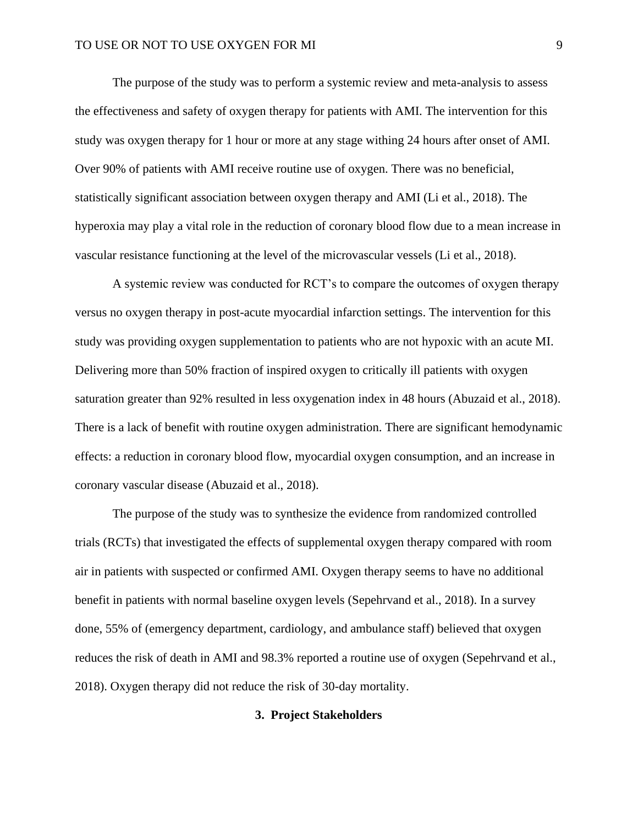The purpose of the study was to perform a systemic review and meta-analysis to assess the effectiveness and safety of oxygen therapy for patients with AMI. The intervention for this study was oxygen therapy for 1 hour or more at any stage withing 24 hours after onset of AMI. Over 90% of patients with AMI receive routine use of oxygen. There was no beneficial, statistically significant association between oxygen therapy and AMI (Li et al., 2018). The hyperoxia may play a vital role in the reduction of coronary blood flow due to a mean increase in vascular resistance functioning at the level of the microvascular vessels (Li et al., 2018).

A systemic review was conducted for RCT's to compare the outcomes of oxygen therapy versus no oxygen therapy in post-acute myocardial infarction settings. The intervention for this study was providing oxygen supplementation to patients who are not hypoxic with an acute MI. Delivering more than 50% fraction of inspired oxygen to critically ill patients with oxygen saturation greater than 92% resulted in less oxygenation index in 48 hours (Abuzaid et al., 2018). There is a lack of benefit with routine oxygen administration. There are significant hemodynamic effects: a reduction in coronary blood flow, myocardial oxygen consumption, and an increase in coronary vascular disease (Abuzaid et al., 2018).

The purpose of the study was to synthesize the evidence from randomized controlled trials (RCTs) that investigated the effects of supplemental oxygen therapy compared with room air in patients with suspected or confirmed AMI. Oxygen therapy seems to have no additional benefit in patients with normal baseline oxygen levels (Sepehrvand et al., 2018). In a survey done, 55% of (emergency department, cardiology, and ambulance staff) believed that oxygen reduces the risk of death in AMI and 98.3% reported a routine use of oxygen (Sepehrvand et al., 2018). Oxygen therapy did not reduce the risk of 30-day mortality.

## **3. Project Stakeholders**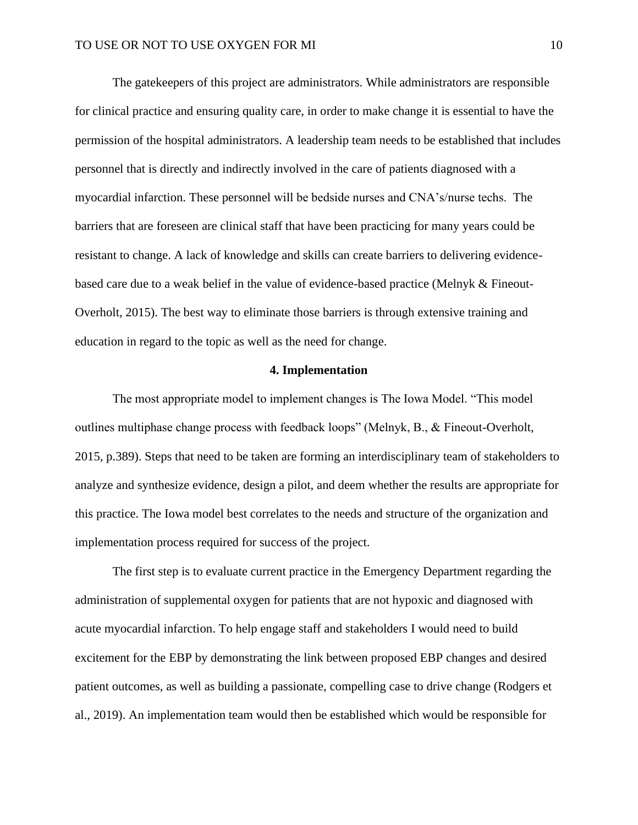The gatekeepers of this project are administrators. While administrators are responsible for clinical practice and ensuring quality care, in order to make change it is essential to have the permission of the hospital administrators. A leadership team needs to be established that includes personnel that is directly and indirectly involved in the care of patients diagnosed with a myocardial infarction. These personnel will be bedside nurses and CNA's/nurse techs. The barriers that are foreseen are clinical staff that have been practicing for many years could be resistant to change. A lack of knowledge and skills can create barriers to delivering evidencebased care due to a weak belief in the value of evidence-based practice (Melnyk & Fineout-Overholt, 2015). The best way to eliminate those barriers is through extensive training and education in regard to the topic as well as the need for change.

## **4. Implementation**

The most appropriate model to implement changes is The Iowa Model. "This model outlines multiphase change process with feedback loops" (Melnyk, B., & Fineout-Overholt, 2015, p.389). Steps that need to be taken are forming an interdisciplinary team of stakeholders to analyze and synthesize evidence, design a pilot, and deem whether the results are appropriate for this practice. The Iowa model best correlates to the needs and structure of the organization and implementation process required for success of the project.

The first step is to evaluate current practice in the Emergency Department regarding the administration of supplemental oxygen for patients that are not hypoxic and diagnosed with acute myocardial infarction. To help engage staff and stakeholders I would need to build excitement for the EBP by demonstrating the link between proposed EBP changes and desired patient outcomes, as well as building a passionate, compelling case to drive change (Rodgers et al., 2019). An implementation team would then be established which would be responsible for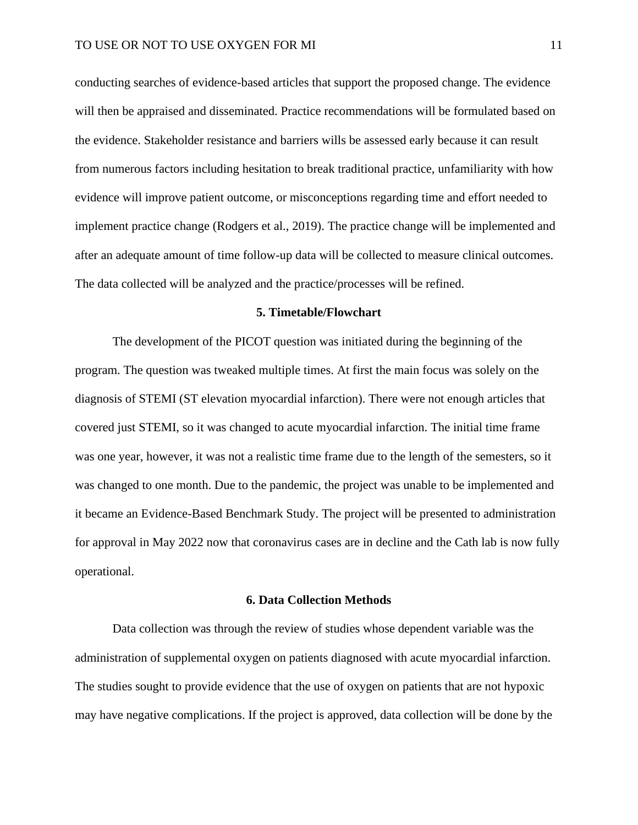conducting searches of evidence-based articles that support the proposed change. The evidence will then be appraised and disseminated. Practice recommendations will be formulated based on the evidence. Stakeholder resistance and barriers wills be assessed early because it can result from numerous factors including hesitation to break traditional practice, unfamiliarity with how evidence will improve patient outcome, or misconceptions regarding time and effort needed to implement practice change (Rodgers et al., 2019). The practice change will be implemented and after an adequate amount of time follow-up data will be collected to measure clinical outcomes. The data collected will be analyzed and the practice/processes will be refined.

#### **5. Timetable/Flowchart**

The development of the PICOT question was initiated during the beginning of the program. The question was tweaked multiple times. At first the main focus was solely on the diagnosis of STEMI (ST elevation myocardial infarction). There were not enough articles that covered just STEMI, so it was changed to acute myocardial infarction. The initial time frame was one year, however, it was not a realistic time frame due to the length of the semesters, so it was changed to one month. Due to the pandemic, the project was unable to be implemented and it became an Evidence-Based Benchmark Study. The project will be presented to administration for approval in May 2022 now that coronavirus cases are in decline and the Cath lab is now fully operational.

#### **6. Data Collection Methods**

Data collection was through the review of studies whose dependent variable was the administration of supplemental oxygen on patients diagnosed with acute myocardial infarction. The studies sought to provide evidence that the use of oxygen on patients that are not hypoxic may have negative complications. If the project is approved, data collection will be done by the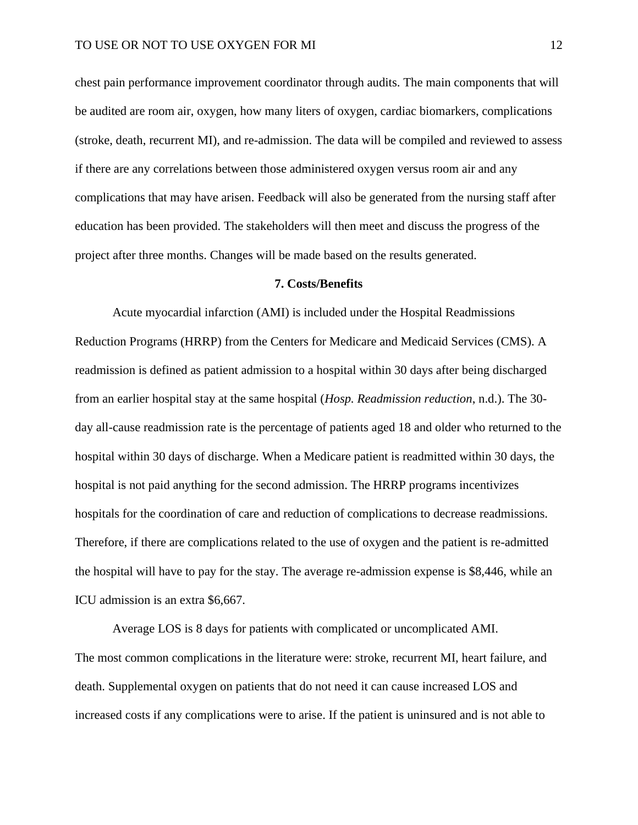chest pain performance improvement coordinator through audits. The main components that will be audited are room air, oxygen, how many liters of oxygen, cardiac biomarkers, complications (stroke, death, recurrent MI), and re-admission. The data will be compiled and reviewed to assess if there are any correlations between those administered oxygen versus room air and any complications that may have arisen. Feedback will also be generated from the nursing staff after education has been provided. The stakeholders will then meet and discuss the progress of the project after three months. Changes will be made based on the results generated.

#### **7. Costs/Benefits**

Acute myocardial infarction (AMI) is included under the Hospital Readmissions Reduction Programs (HRRP) from the Centers for Medicare and Medicaid Services (CMS). A readmission is defined as patient admission to a hospital within 30 days after being discharged from an earlier hospital stay at the same hospital (*Hosp. Readmission reduction*, n.d.). The 30 day all-cause readmission rate is the percentage of patients aged 18 and older who returned to the hospital within 30 days of discharge. When a Medicare patient is readmitted within 30 days, the hospital is not paid anything for the second admission. The HRRP programs incentivizes hospitals for the coordination of care and reduction of complications to decrease readmissions. Therefore, if there are complications related to the use of oxygen and the patient is re-admitted the hospital will have to pay for the stay. The average re-admission expense is \$8,446, while an ICU admission is an extra \$6,667.

Average LOS is 8 days for patients with complicated or uncomplicated AMI. The most common complications in the literature were: stroke, recurrent MI, heart failure, and death. Supplemental oxygen on patients that do not need it can cause increased LOS and increased costs if any complications were to arise. If the patient is uninsured and is not able to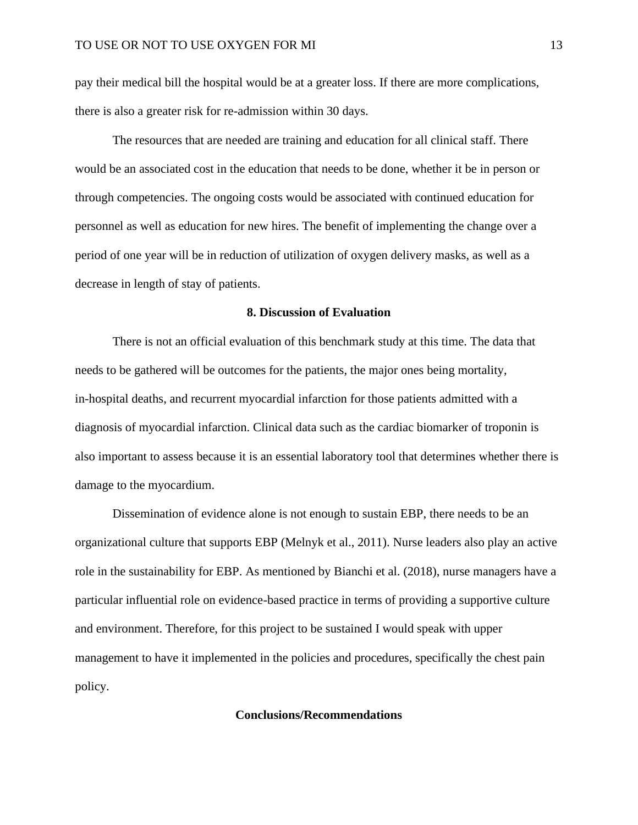pay their medical bill the hospital would be at a greater loss. If there are more complications, there is also a greater risk for re-admission within 30 days.

The resources that are needed are training and education for all clinical staff. There would be an associated cost in the education that needs to be done, whether it be in person or through competencies. The ongoing costs would be associated with continued education for personnel as well as education for new hires. The benefit of implementing the change over a period of one year will be in reduction of utilization of oxygen delivery masks, as well as a decrease in length of stay of patients.

#### **8. Discussion of Evaluation**

There is not an official evaluation of this benchmark study at this time. The data that needs to be gathered will be outcomes for the patients, the major ones being mortality, in-hospital deaths, and recurrent myocardial infarction for those patients admitted with a diagnosis of myocardial infarction. Clinical data such as the cardiac biomarker of troponin is also important to assess because it is an essential laboratory tool that determines whether there is damage to the myocardium.

Dissemination of evidence alone is not enough to sustain EBP, there needs to be an organizational culture that supports EBP (Melnyk et al., 2011). Nurse leaders also play an active role in the sustainability for EBP. As mentioned by Bianchi et al. (2018), nurse managers have a particular influential role on evidence-based practice in terms of providing a supportive culture and environment. Therefore, for this project to be sustained I would speak with upper management to have it implemented in the policies and procedures, specifically the chest pain policy.

#### **Conclusions/Recommendations**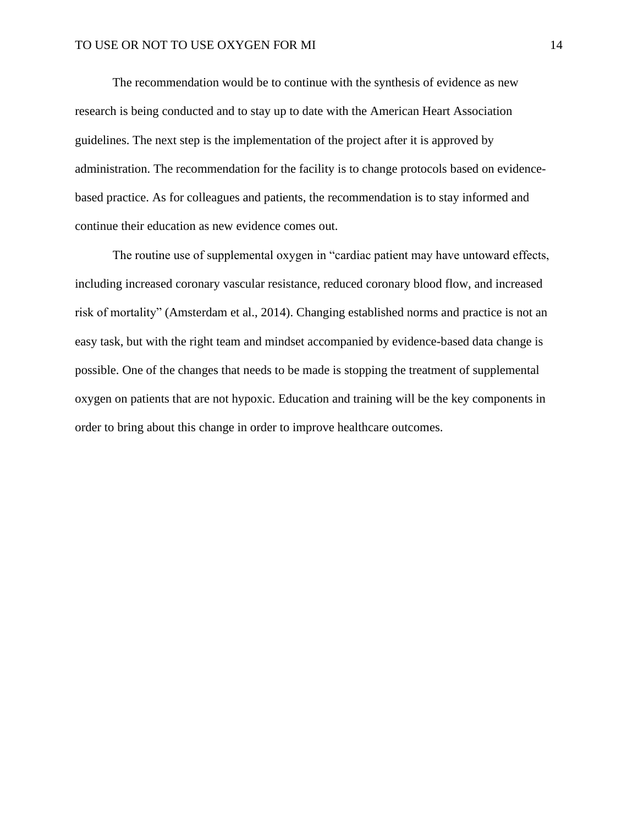The recommendation would be to continue with the synthesis of evidence as new research is being conducted and to stay up to date with the American Heart Association guidelines. The next step is the implementation of the project after it is approved by administration. The recommendation for the facility is to change protocols based on evidencebased practice. As for colleagues and patients, the recommendation is to stay informed and continue their education as new evidence comes out.

The routine use of supplemental oxygen in "cardiac patient may have untoward effects, including increased coronary vascular resistance, reduced coronary blood flow, and increased risk of mortality" (Amsterdam et al., 2014). Changing established norms and practice is not an easy task, but with the right team and mindset accompanied by evidence-based data change is possible. One of the changes that needs to be made is stopping the treatment of supplemental oxygen on patients that are not hypoxic. Education and training will be the key components in order to bring about this change in order to improve healthcare outcomes.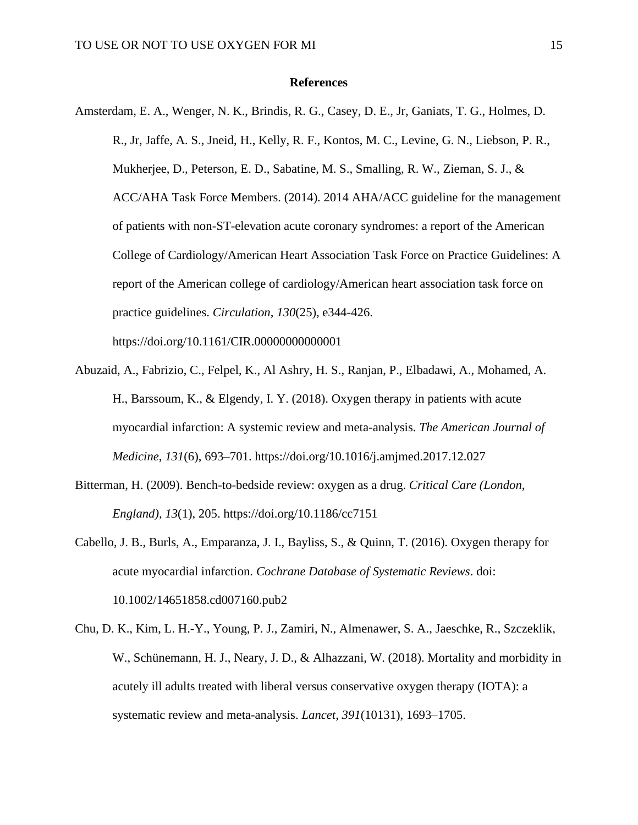## **References**

- Amsterdam, E. A., Wenger, N. K., Brindis, R. G., Casey, D. E., Jr, Ganiats, T. G., Holmes, D. R., Jr, Jaffe, A. S., Jneid, H., Kelly, R. F., Kontos, M. C., Levine, G. N., Liebson, P. R., Mukherjee, D., Peterson, E. D., Sabatine, M. S., Smalling, R. W., Zieman, S. J., & ACC/AHA Task Force Members. (2014). 2014 AHA/ACC guideline for the management of patients with non-ST-elevation acute coronary syndromes: a report of the American College of Cardiology/American Heart Association Task Force on Practice Guidelines: A report of the American college of cardiology/American heart association task force on practice guidelines. *Circulation*, *130*(25), e344-426. https://doi.org/10.1161/CIR.00000000000001
- Abuzaid, A., Fabrizio, C., Felpel, K., Al Ashry, H. S., Ranjan, P., Elbadawi, A., Mohamed, A. H., Barssoum, K., & Elgendy, I. Y. (2018). Oxygen therapy in patients with acute myocardial infarction: A systemic review and meta-analysis. *The American Journal of Medicine*, *131*(6), 693–701. https://doi.org/10.1016/j.amjmed.2017.12.027
- Bitterman, H. (2009). Bench-to-bedside review: oxygen as a drug. *Critical Care (London, England)*, *13*(1), 205. https://doi.org/10.1186/cc7151
- Cabello, J. B., Burls, A., Emparanza, J. I., Bayliss, S., & Quinn, T. (2016). Oxygen therapy for acute myocardial infarction. *Cochrane Database of Systematic Reviews*. doi: 10.1002/14651858.cd007160.pub2
- Chu, D. K., Kim, L. H.-Y., Young, P. J., Zamiri, N., Almenawer, S. A., Jaeschke, R., Szczeklik, W., Schünemann, H. J., Neary, J. D., & Alhazzani, W. (2018). Mortality and morbidity in acutely ill adults treated with liberal versus conservative oxygen therapy (IOTA): a systematic review and meta-analysis. *Lancet*, *391*(10131), 1693–1705.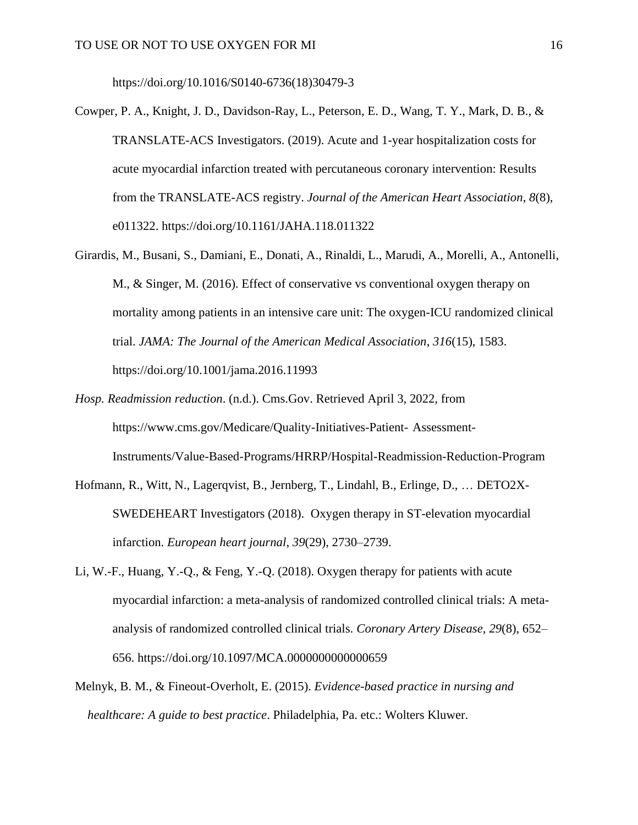https://doi.org/10.1016/S0140-6736(18)30479-3

- Cowper, P. A., Knight, J. D., Davidson-Ray, L., Peterson, E. D., Wang, T. Y., Mark, D. B., & TRANSLATE-ACS Investigators. (2019). Acute and 1-year hospitalization costs for acute myocardial infarction treated with percutaneous coronary intervention: Results from the TRANSLATE-ACS registry. *Journal of the American Heart Association*, *8*(8), e011322. https://doi.org/10.1161/JAHA.118.011322
- Girardis, M., Busani, S., Damiani, E., Donati, A., Rinaldi, L., Marudi, A., Morelli, A., Antonelli, M., & Singer, M. (2016). Effect of conservative vs conventional oxygen therapy on mortality among patients in an intensive care unit: The oxygen-ICU randomized clinical trial. *JAMA: The Journal of the American Medical Association*, *316*(15), 1583. https://doi.org/10.1001/jama.2016.11993
- *Hosp. Readmission reduction*. (n.d.). Cms.Gov. Retrieved April 3, 2022, from [https://www.cms.gov/Medicare/Quality-Initiatives-Patient-](https://www.cms.gov/Medicare/Quality-Initiatives-Patient-%09Assessment-Instruments/Value-Based-Programs/HRRP/Hospital-Readmission-Reduction-Program) Assessment-Instruments/Value-Based-Programs/HRRP/Hospital-Readmission-Reduction-Program
- Hofmann, R., Witt, N., Lagerqvist, B., Jernberg, T., Lindahl, B., Erlinge, D., … DETO2X-SWEDEHEART Investigators (2018). Oxygen therapy in ST-elevation myocardial infarction. *European heart journal*, *39*(29), 2730–2739.
- Li, W.-F., Huang, Y.-Q., & Feng, Y.-Q. (2018). Oxygen therapy for patients with acute myocardial infarction: a meta-analysis of randomized controlled clinical trials: A metaanalysis of randomized controlled clinical trials. *Coronary Artery Disease*, *29*(8), 652– 656. https://doi.org/10.1097/MCA.0000000000000659
- Melnyk, B. M., & Fineout-Overholt, E. (2015). *Evidence-based practice in nursing and healthcare: A guide to best practice*. Philadelphia, Pa. etc.: Wolters Kluwer.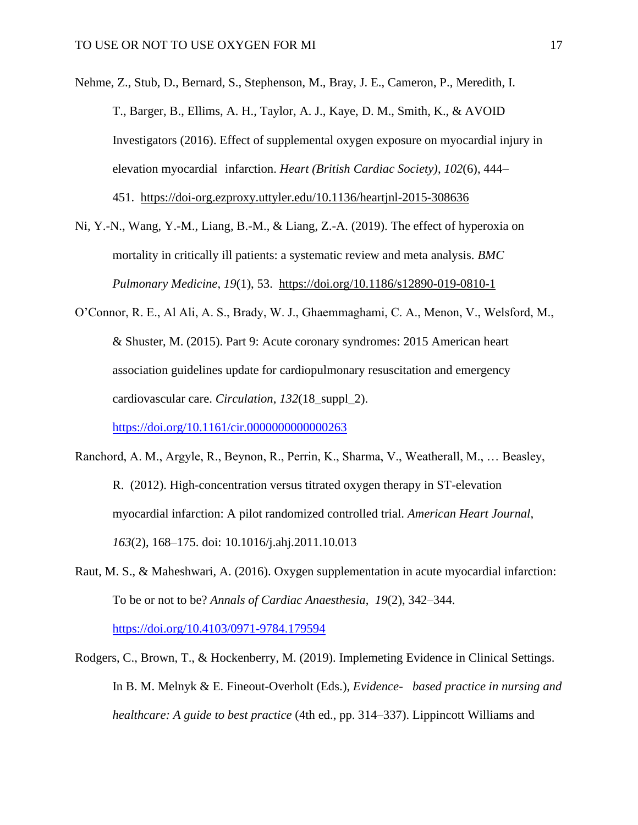Nehme, Z., Stub, D., Bernard, S., Stephenson, M., Bray, J. E., Cameron, P., Meredith, I. T., Barger, B., Ellims, A. H., Taylor, A. J., Kaye, D. M., Smith, K., & AVOID Investigators (2016). Effect of supplemental oxygen exposure on myocardial injury in elevation myocardial infarction. *Heart (British Cardiac Society)*, *102*(6), 444– 451. <https://doi-org.ezproxy.uttyler.edu/10.1136/heartjnl-2015-308636>

- Ni, Y.-N., Wang, Y.-M., Liang, B.-M., & Liang, Z.-A. (2019). The effect of hyperoxia on mortality in critically ill patients: a systematic review and meta analysis. *BMC Pulmonary Medicine*, *19*(1), 53. <https://doi.org/10.1186/s12890-019-0810-1>
- O'Connor, R. E., Al Ali, A. S., Brady, W. J., Ghaemmaghami, C. A., Menon, V., Welsford, M., & Shuster, M. (2015). Part 9: Acute coronary syndromes: 2015 American heart association guidelines update for cardiopulmonary resuscitation and emergency cardiovascular care. *Circulation*, *132*(18\_suppl\_2).

<https://doi.org/10.1161/cir.0000000000000263>

- Ranchord, A. M., Argyle, R., Beynon, R., Perrin, K., Sharma, V., Weatherall, M., … Beasley, R. (2012). High-concentration versus titrated oxygen therapy in ST-elevation myocardial infarction: A pilot randomized controlled trial. *American Heart Journal*, *163*(2), 168–175. doi: 10.1016/j.ahj.2011.10.013
- Raut, M. S., & Maheshwari, A. (2016). Oxygen supplementation in acute myocardial infarction: To be or not to be? *Annals of Cardiac Anaesthesia*, *19*(2), 342–344. <https://doi.org/10.4103/0971-9784.179594>
- Rodgers, C., Brown, T., & Hockenberry, M. (2019). Implemeting Evidence in Clinical Settings. In B. M. Melnyk & E. Fineout-Overholt (Eds.), *Evidence- based practice in nursing and healthcare: A guide to best practice* (4th ed., pp. 314–337). Lippincott Williams and